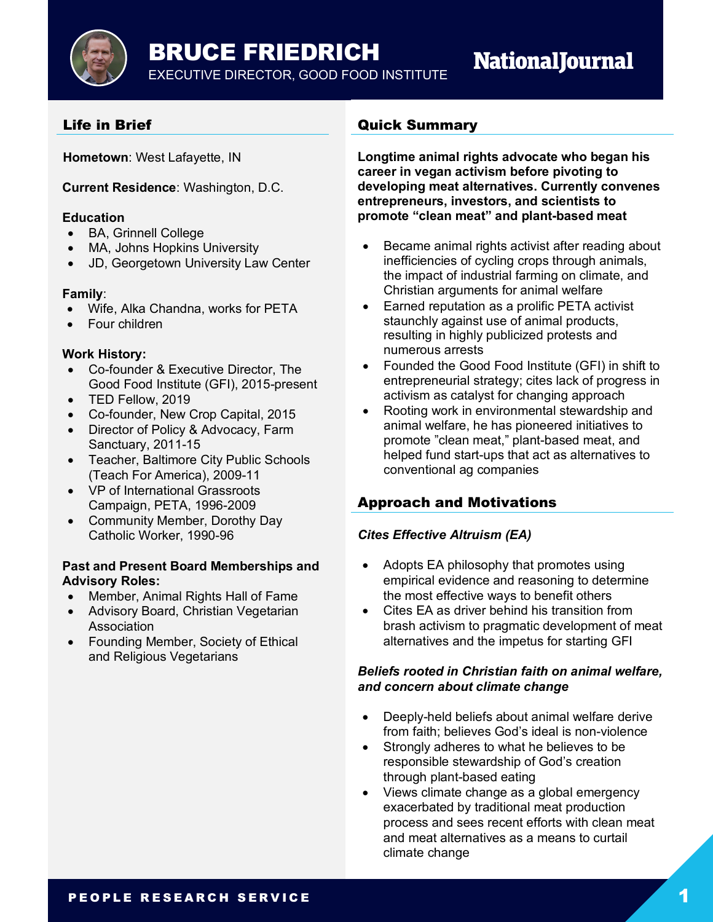BRUCE FRIEDRICH

EXECUTIVE DIRECTOR, GOOD FOOD INSTITUTE

# **NationalJournal**

# Life in Brief

**Hometown**: West Lafayette, IN

**Current Residence**: Washington, D.C.

## **Education**

- BA, Grinnell College
- MA, Johns Hopkins University
- JD, Georgetown University Law Center

## **Family**:

- Wife, Alka Chandna, works for PETA
- Four children

## **Work History:**

- Co-founder & Executive Director, The Good Food Institute (GFI), 2015-present
- TED Fellow, 2019
- Co-founder, New Crop Capital, 2015
- Director of Policy & Advocacy, Farm Sanctuary, 2011-15
- Teacher, Baltimore City Public Schools (Teach For America), 2009-11
- VP of International Grassroots Campaign, PETA, 1996-2009
- Community Member, Dorothy Day Catholic Worker, 1990-96

#### **Past and Present Board Memberships and Advisory Roles:**

- Member, Animal Rights Hall of Fame
- Advisory Board, Christian Vegetarian Association
- Founding Member, Society of Ethical and Religious Vegetarians

## Quick Summary

**Longtime animal rights advocate who began his career in vegan activism before pivoting to developing meat alternatives. Currently convenes entrepreneurs, investors, and scientists to promote "clean meat" and plant-based meat**

- Became animal rights activist after reading about inefficiencies of cycling crops through animals, the impact of industrial farming on climate, and Christian arguments for animal welfare
- Earned reputation as a prolific PETA activist staunchly against use of animal products, resulting in highly publicized protests and numerous arrests
- Founded the Good Food Institute (GFI) in shift to entrepreneurial strategy; cites lack of progress in activism as catalyst for changing approach
- Rooting work in environmental stewardship and animal welfare, he has pioneered initiatives to promote "clean meat," plant-based meat, and helped fund start-ups that act as alternatives to conventional ag companies

# Approach and Motivations

## *Cites Effective Altruism (EA)*

- Adopts EA philosophy that promotes using empirical evidence and reasoning to determine the most effective ways to benefit others
- Cites EA as driver behind his transition from brash activism to pragmatic development of meat alternatives and the impetus for starting GFI

#### *Beliefs rooted in Christian faith on animal welfare, and concern about climate change*

- Deeply-held beliefs about animal welfare derive from faith; believes God's ideal is non-violence
- Strongly adheres to what he believes to be responsible stewardship of God's creation through plant-based eating
- Views climate change as a global emergency exacerbated by traditional meat production process and sees recent efforts with clean meat and meat alternatives as a means to curtail climate change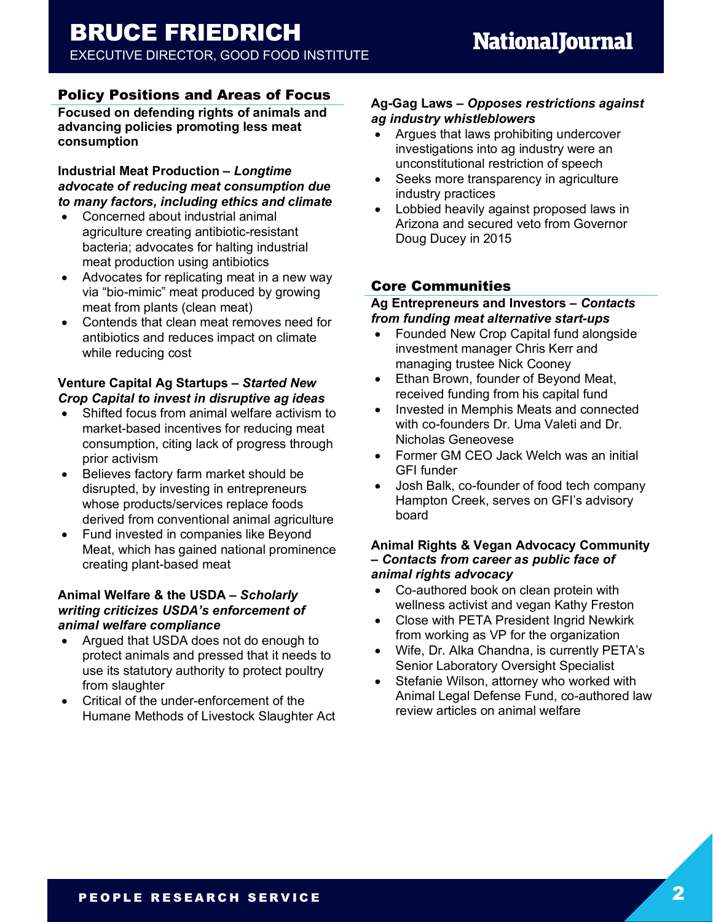# Policy Positions and Areas of Focus

**Focused on defending rights of animals and advancing policies promoting less meat consumption**

**Industrial Meat Production –** *Longtime advocate of reducing meat consumption due to many factors, including ethics and climate*

- Concerned about industrial animal agriculture creating antibiotic-resistant bacteria; advocates for halting industrial meat production using antibiotics
- Advocates for replicating meat in a new way via "bio-mimic" meat produced by growing meat from plants (clean meat)
- Contends that clean meat removes need for antibiotics and reduces impact on climate while reducing cost

## **Venture Capital Ag Startups –** *Started New Crop Capital to invest in disruptive ag ideas*

- Shifted focus from animal welfare activism to market-based incentives for reducing meat consumption, citing lack of progress through prior activism
- Believes factory farm market should be disrupted, by investing in entrepreneurs whose products/services replace foods derived from conventional animal agriculture
- Fund invested in companies like Beyond Meat, which has gained national prominence creating plant-based meat

#### **Animal Welfare & the USDA –** *Scholarly writing criticizes USDA's enforcement of animal welfare compliance*

- Argued that USDA does not do enough to protect animals and pressed that it needs to use its statutory authority to protect poultry from slaughter
- Critical of the under-enforcement of the Humane Methods of Livestock Slaughter Act

### **Ag-Gag Laws –** *Opposes restrictions against ag industry whistleblowers*

- Argues that laws prohibiting undercover investigations into ag industry were an unconstitutional restriction of speech
- Seeks more transparency in agriculture industry practices
- Lobbied heavily against proposed laws in Arizona and secured veto from Governor Doug Ducey in 2015

# Core Communities

#### **Ag Entrepreneurs and Investors –** *Contacts from funding meat alternative start-ups*

- Founded New Crop Capital fund alongside investment manager Chris Kerr and managing trustee Nick Cooney
- Ethan Brown, founder of Beyond Meat, received funding from his capital fund
- Invested in Memphis Meats and connected with co-founders Dr. Uma Valeti and Dr. Nicholas Geneovese
- Former GM CEO Jack Welch was an initial GFI funder
- Josh Balk, co-founder of food tech company Hampton Creek, serves on GFI's advisory board

#### **Animal Rights & Vegan Advocacy Community –** *Contacts from career as public face of animal rights advocacy*

- Co-authored book on clean protein with wellness activist and vegan Kathy Freston
- Close with PETA President Ingrid Newkirk from working as VP for the organization
- Wife, Dr. Alka Chandna, is currently PETA's Senior Laboratory Oversight Specialist
- Stefanie Wilson, attorney who worked with Animal Legal Defense Fund, co-authored law review articles on animal welfare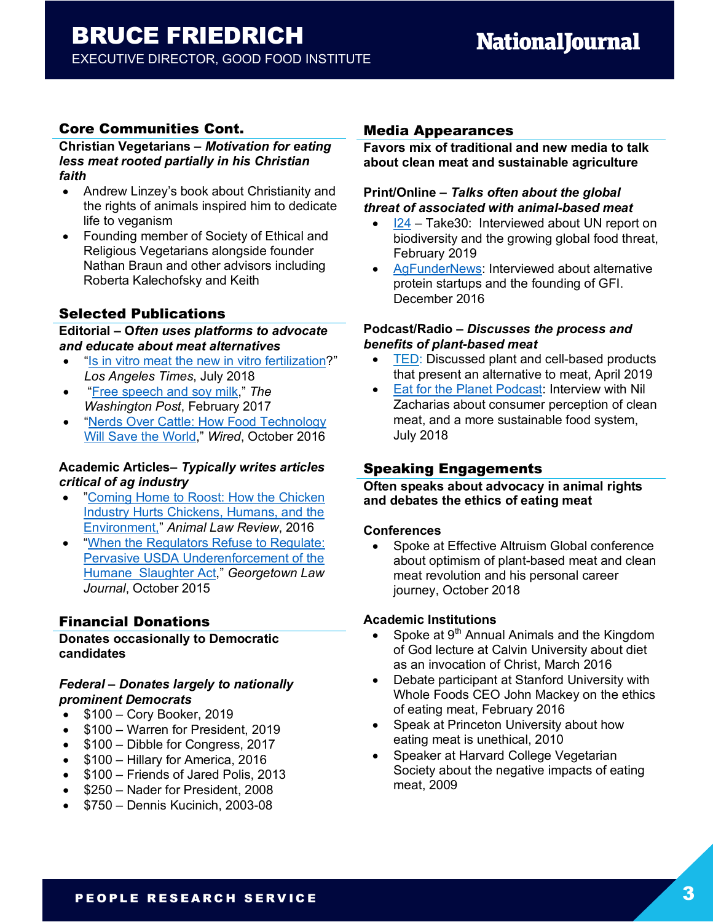# Core Communities Cont.

**Christian Vegetarians –** *Motivation for eating less meat rooted partially in his Christian faith*

- Andrew Linzey's book about Christianity and the rights of animals inspired him to dedicate life to veganism
- Founding member of Society of Ethical and Religious Vegetarians alongside founder Nathan Braun and other advisors including Roberta Kalechofsky and Keith

# Selected Publications

**Editorial – O***ften uses platforms to advocate and educate about meat alternatives* 

- "Is in vitro meat the new in vitro fertilization?" *Los Angeles Times*, July 2018
- "Free speech and soy milk," *The Washington Post*, February 2017
- "Nerds Over Cattle: How Food Technology Will Save the World," *Wired*, October 2016

#### **Academic Articles–** *Typically writes articles critical of ag industry*

- "Coming Home to Roost: How the Chicken Industry Hurts Chickens, Humans, and the Environment," *Animal Law Review*, 2016
- "When the Regulators Refuse to Regulate: Pervasive USDA Underenforcement of the Humane Slaughter Act," *Georgetown Law Journal*, October 2015

# Financial Donations

#### **Donates occasionally to Democratic candidates**

#### *Federal – Donates largely to nationally prominent Democrats*

- \$100 Cory Booker, 2019
- \$100 Warren for President, 2019
- \$100 Dibble for Congress, 2017
- \$100 Hillary for America, 2016
- \$100 Friends of Jared Polis, 2013
- \$250 Nader for President, 2008
- \$750 Dennis Kucinich, 2003-08

## Media Appearances

**Favors mix of traditional and new media to talk about clean meat and sustainable agriculture**

## **Print/Online –** *Talks often about the global threat of associated with animal-based meat*

- I24 Take30: Interviewed about UN report on biodiversity and the growing global food threat, February 2019
- AgFunderNews: Interviewed about alternative protein startups and the founding of GFI. December 2016

#### **Podcast/Radio –** *Discusses the process and benefits of plant-based meat*

- TED: Discussed plant and cell-based products that present an alternative to meat, April 2019
- Eat for the Planet Podcast: Interview with Nil Zacharias about consumer perception of clean meat, and a more sustainable food system, July 2018

# Speaking Engagements

**Often speaks about advocacy in animal rights and debates the ethics of eating meat**

#### **Conferences**

• Spoke at Effective Altruism Global conference about optimism of plant-based meat and clean meat revolution and his personal career journey, October 2018

#### **Academic Institutions**

- Spoke at  $9<sup>th</sup>$  Annual Animals and the Kingdom of God lecture at Calvin University about diet as an invocation of Christ, March 2016
- Debate participant at Stanford University with Whole Foods CEO John Mackey on the ethics of eating meat, February 2016
- Speak at Princeton University about how eating meat is unethical, 2010
- Speaker at Harvard College Vegetarian Society about the negative impacts of eating meat, 2009